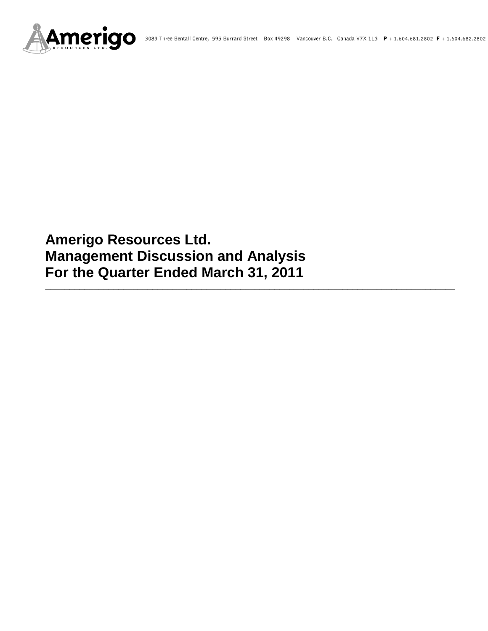

# **Amerigo Resources Ltd. Management Discussion and Analysis For the Quarter Ended March 31, 2011**

**\_\_\_\_\_\_\_\_\_\_\_\_\_\_\_\_\_\_\_\_\_\_\_\_\_\_\_\_\_\_\_\_\_\_\_\_\_\_\_\_\_\_\_\_\_\_\_\_\_\_\_\_\_\_\_\_\_\_\_\_\_\_\_\_\_\_\_\_\_\_\_\_\_\_\_\_\_\_\_\_\_\_\_\_**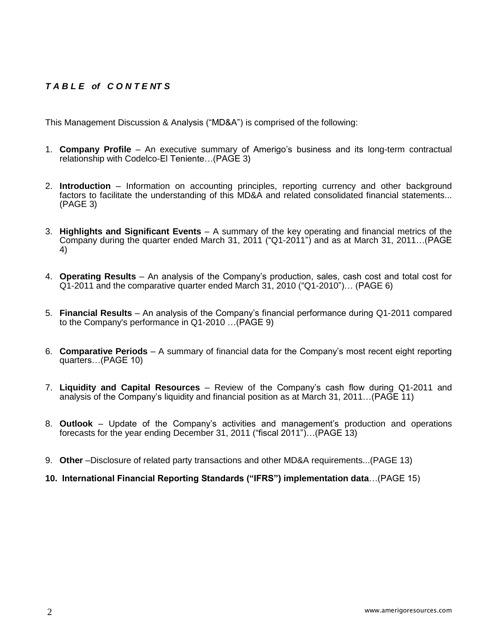# *T A B L E of C O N T E NT S*

This Management Discussion & Analysis ("MD&A") is comprised of the following:

- 1. **Company Profile**  An executive summary of Amerigo's business and its long-term contractual relationship with Codelco-El Teniente…(PAGE 3)
- 2. **Introduction**  Information on accounting principles, reporting currency and other background factors to facilitate the understanding of this MD&A and related consolidated financial statements... (PAGE 3)
- 3. **Highlights and Significant Events** A summary of the key operating and financial metrics of the Company during the quarter ended March 31, 2011 ("Q1-2011") and as at March 31, 2011…(PAGE 4)
- 4. **Operating Results** An analysis of the Company's production, sales, cash cost and total cost for Q1-2011 and the comparative quarter ended March 31, 2010 ("Q1-2010")… (PAGE 6)
- 5. **Financial Results** An analysis of the Company's financial performance during Q1-2011 compared to the Company's performance in Q1-2010 …(PAGE 9)
- 6. **Comparative Periods** A summary of financial data for the Company's most recent eight reporting quarters…(PAGE 10)
- 7. **Liquidity and Capital Resources** Review of the Company's cash flow during Q1-2011 and analysis of the Company's liquidity and financial position as at March 31, 2011…(PAGE 11)
- 8. **Outlook** Update of the Company's activities and management's production and operations forecasts for the year ending December 31, 2011 ("fiscal 2011")…(PAGE 13)
- 9. **Other** –Disclosure of related party transactions and other MD&A requirements...(PAGE 13)
- **10. International Financial Reporting Standards ("IFRS") implementation data**…(PAGE 15)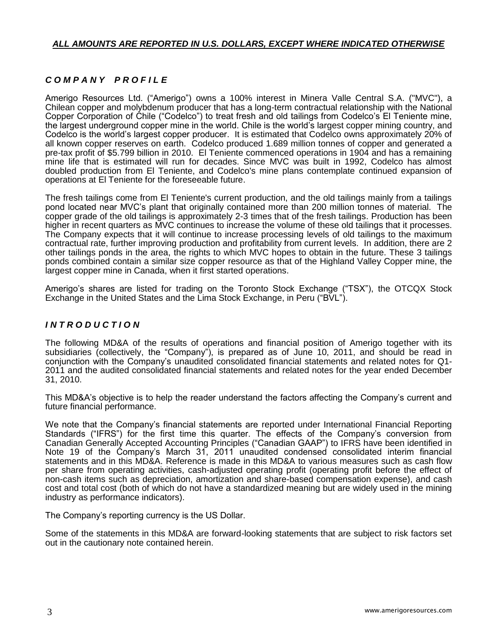# *ALL AMOUNTS ARE REPORTED IN U.S. DOLLARS, EXCEPT WHERE INDICATED OTHERWISE*

# *C O M P A N Y P R O F I L E*

Amerigo Resources Ltd. ("Amerigo") owns a 100% interest in Minera Valle Central S.A. ("MVC"), a Chilean copper and molybdenum producer that has a long-term contractual relationship with the National Copper Corporation of Chile ("Codelco") to treat fresh and old tailings from Codelco's El Teniente mine, the largest underground copper mine in the world. Chile is the world's largest copper mining country, and Codelco is the world's largest copper producer. It is estimated that Codelco owns approximately 20% of all known copper reserves on earth. Codelco produced 1.689 million tonnes of copper and generated a pre-tax profit of \$5.799 billion in 2010. El Teniente commenced operations in 1904 and has a remaining mine life that is estimated will run for decades. Since MVC was built in 1992, Codelco has almost doubled production from El Teniente, and Codelco's mine plans contemplate continued expansion of operations at El Teniente for the foreseeable future.

The fresh tailings come from El Teniente's current production, and the old tailings mainly from a tailings pond located near MVC's plant that originally contained more than 200 million tonnes of material. The copper grade of the old tailings is approximately 2-3 times that of the fresh tailings. Production has been higher in recent quarters as MVC continues to increase the volume of these old tailings that it processes. The Company expects that it will continue to increase processing levels of old tailings to the maximum contractual rate, further improving production and profitability from current levels. In addition, there are 2 other tailings ponds in the area, the rights to which MVC hopes to obtain in the future. These 3 tailings ponds combined contain a similar size copper resource as that of the Highland Valley Copper mine, the largest copper mine in Canada, when it first started operations.

Amerigo's shares are listed for trading on the Toronto Stock Exchange ("TSX"), the OTCQX Stock Exchange in the United States and the Lima Stock Exchange, in Peru ("BVL").

## *I N T R O D U C T I O N*

The following MD&A of the results of operations and financial position of Amerigo together with its subsidiaries (collectively, the "Company"), is prepared as of June 10, 2011, and should be read in conjunction with the Company's unaudited consolidated financial statements and related notes for Q1- 2011 and the audited consolidated financial statements and related notes for the year ended December 31, 2010.

This MD&A's objective is to help the reader understand the factors affecting the Company's current and future financial performance.

We note that the Company's financial statements are reported under International Financial Reporting Standards ("IFRS") for the first time this quarter. The effects of the Company's conversion from Canadian Generally Accepted Accounting Principles ("Canadian GAAP") to IFRS have been identified in Note 19 of the Company's March 31, 2011 unaudited condensed consolidated interim financial statements and in this MD&A. Reference is made in this MD&A to various measures such as cash flow per share from operating activities, cash-adjusted operating profit (operating profit before the effect of non-cash items such as depreciation, amortization and share-based compensation expense), and cash cost and total cost (both of which do not have a standardized meaning but are widely used in the mining industry as performance indicators).

The Company's reporting currency is the US Dollar.

Some of the statements in this MD&A are forward-looking statements that are subject to risk factors set out in the cautionary note contained herein.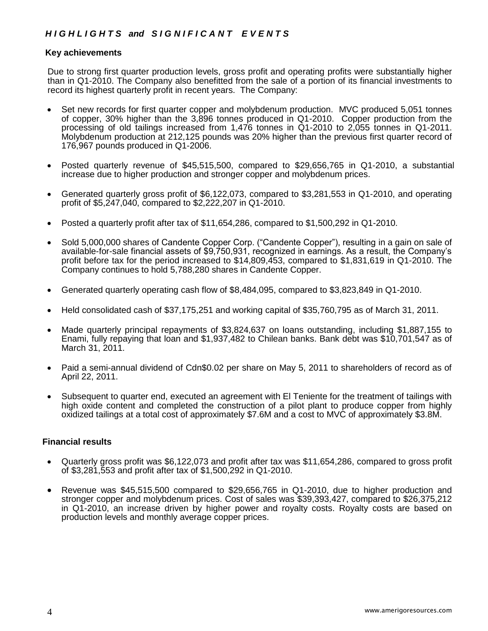# *H I G H L I G H T S and S I G N I F I C A N T E V E N T S*

#### **Key achievements**

Due to strong first quarter production levels, gross profit and operating profits were substantially higher than in Q1-2010. The Company also benefitted from the sale of a portion of its financial investments to record its highest quarterly profit in recent years. The Company:

- Set new records for first quarter copper and molybdenum production. MVC produced 5,051 tonnes of copper, 30% higher than the 3,896 tonnes produced in Q1-2010. Copper production from the processing of old tailings increased from 1,476 tonnes in Q1-2010 to 2,055 tonnes in Q1-2011. Molybdenum production at 212,125 pounds was 20% higher than the previous first quarter record of 176,967 pounds produced in Q1-2006.
- Posted quarterly revenue of \$45,515,500, compared to \$29,656,765 in Q1-2010, a substantial increase due to higher production and stronger copper and molybdenum prices.
- Generated quarterly gross profit of \$6,122,073, compared to \$3,281,553 in Q1-2010, and operating profit of \$5,247,040, compared to \$2,222,207 in Q1-2010.
- Posted a quarterly profit after tax of \$11,654,286, compared to \$1,500,292 in Q1-2010.
- Sold 5,000,000 shares of Candente Copper Corp. ("Candente Copper"), resulting in a gain on sale of available-for-sale financial assets of \$9,750,931, recognized in earnings. As a result, the Company's profit before tax for the period increased to \$14,809,453, compared to \$1,831,619 in Q1-2010. The Company continues to hold 5,788,280 shares in Candente Copper.
- Generated quarterly operating cash flow of \$8,484,095, compared to \$3,823,849 in Q1-2010.
- Held consolidated cash of \$37,175,251 and working capital of \$35,760,795 as of March 31, 2011.
- Made quarterly principal repayments of \$3,824,637 on loans outstanding, including \$1,887,155 to Enami, fully repaying that loan and \$1,937,482 to Chilean banks. Bank debt was \$10,701,547 as of March 31, 2011.
- Paid a semi-annual dividend of Cdn\$0.02 per share on May 5, 2011 to shareholders of record as of April 22, 2011.
- Subsequent to quarter end, executed an agreement with El Teniente for the treatment of tailings with high oxide content and completed the construction of a pilot plant to produce copper from highly oxidized tailings at a total cost of approximately \$7.6M and a cost to MVC of approximately \$3.8M.

#### **Financial results**

- Quarterly gross profit was \$6,122,073 and profit after tax was \$11,654,286, compared to gross profit of \$3,281,553 and profit after tax of \$1,500,292 in Q1-2010.
- Revenue was \$45,515,500 compared to \$29,656,765 in Q1-2010, due to higher production and stronger copper and molybdenum prices. Cost of sales was \$39,393,427, compared to \$26,375,212 in Q1-2010, an increase driven by higher power and royalty costs. Royalty costs are based on production levels and monthly average copper prices.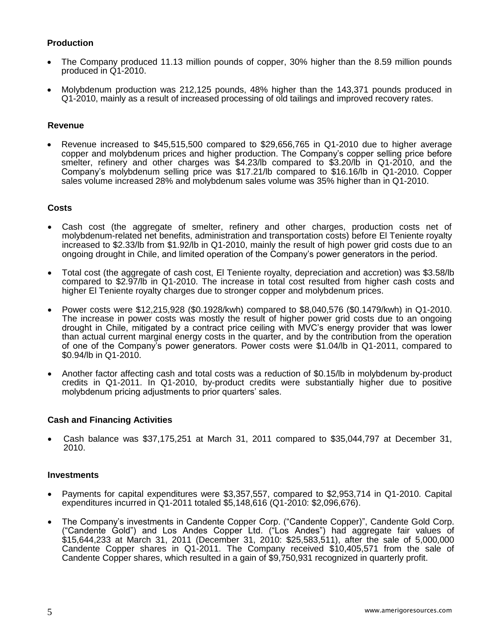## **Production**

- The Company produced 11.13 million pounds of copper, 30% higher than the 8.59 million pounds produced in Q1-2010.
- Molybdenum production was 212,125 pounds, 48% higher than the 143,371 pounds produced in Q1-2010, mainly as a result of increased processing of old tailings and improved recovery rates.

#### **Revenue**

 Revenue increased to \$45,515,500 compared to \$29,656,765 in Q1-2010 due to higher average copper and molybdenum prices and higher production. The Company's copper selling price before smelter, refinery and other charges was \$4.23/lb compared to \$3.20/lb in Q1-2010, and the Company's molybdenum selling price was \$17.21/lb compared to \$16.16/lb in Q1-2010. Copper sales volume increased 28% and molybdenum sales volume was 35% higher than in Q1-2010.

#### **Costs**

- Cash cost (the aggregate of smelter, refinery and other charges, production costs net of molybdenum-related net benefits, administration and transportation costs) before El Teniente royalty increased to \$2.33/lb from \$1.92/lb in Q1-2010, mainly the result of high power grid costs due to an ongoing drought in Chile, and limited operation of the Company's power generators in the period.
- Total cost (the aggregate of cash cost, El Teniente royalty, depreciation and accretion) was \$3.58/lb compared to \$2.97/lb in Q1-2010. The increase in total cost resulted from higher cash costs and higher El Teniente royalty charges due to stronger copper and molybdenum prices.
- Power costs were \$12,215,928 (\$0.1928/kwh) compared to \$8,040,576 (\$0.1479/kwh) in Q1-2010. The increase in power costs was mostly the result of higher power grid costs due to an ongoing drought in Chile, mitigated by a contract price ceiling with MVC's energy provider that was lower than actual current marginal energy costs in the quarter, and by the contribution from the operation of one of the Company's power generators. Power costs were \$1.04/lb in Q1-2011, compared to \$0.94/lb in Q1-2010.
- Another factor affecting cash and total costs was a reduction of \$0.15/lb in molybdenum by-product credits in Q1-2011. In Q1-2010, by-product credits were substantially higher due to positive molybdenum pricing adjustments to prior quarters' sales.

#### **Cash and Financing Activities**

 Cash balance was \$37,175,251 at March 31, 2011 compared to \$35,044,797 at December 31, 2010.

#### **Investments**

- Payments for capital expenditures were \$3,357,557, compared to \$2,953,714 in Q1-2010. Capital expenditures incurred in Q1-2011 totaled \$5,148,616 (Q1-2010: \$2,096,676).
- The Company's investments in Candente Copper Corp. ("Candente Copper)", Candente Gold Corp. ("Candente Gold") and Los Andes Copper Ltd. ("Los Andes") had aggregate fair values of \$15,644,233 at March 31, 2011 (December 31, 2010: \$25,583,511), after the sale of 5,000,000 Candente Copper shares in Q1-2011. The Company received \$10,405,571 from the sale of Candente Copper shares, which resulted in a gain of \$9,750,931 recognized in quarterly profit.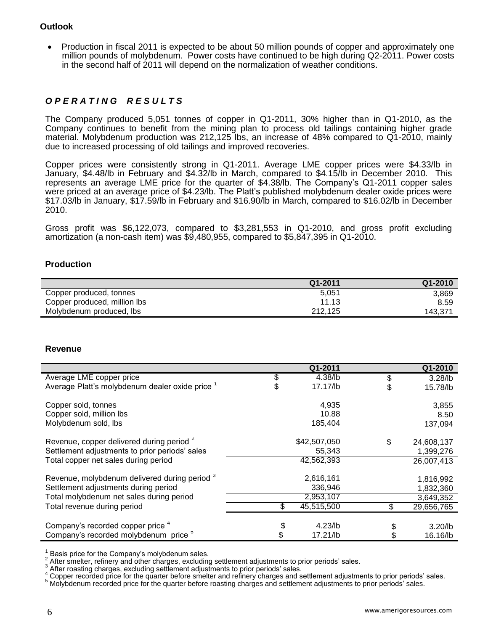## **Outlook**

 Production in fiscal 2011 is expected to be about 50 million pounds of copper and approximately one million pounds of molybdenum. Power costs have continued to be high during Q2-2011. Power costs in the second half of 2011 will depend on the normalization of weather conditions.

# *O P E R A T I N G R E S U L T S*

The Company produced 5,051 tonnes of copper in Q1-2011, 30% higher than in Q1-2010, as the Company continues to benefit from the mining plan to process old tailings containing higher grade material. Molybdenum production was 212,125 lbs, an increase of 48% compared to Q1-2010, mainly due to increased processing of old tailings and improved recoveries.

Copper prices were consistently strong in Q1-2011. Average LME copper prices were \$4.33/lb in January, \$4.48/lb in February and \$4.32/lb in March, compared to \$4.15/lb in December 2010. This represents an average LME price for the quarter of \$4.38/lb. The Company's Q1-2011 copper sales were priced at an average price of \$4.23/lb. The Platt's published molybdenum dealer oxide prices were \$17.03/lb in January, \$17.59/lb in February and \$16.90/lb in March, compared to \$16.02/lb in December 2010.

Gross profit was \$6,122,073, compared to \$3,281,553 in Q1-2010, and gross profit excluding amortization (a non-cash item) was \$9,480,955, compared to \$5,847,395 in Q1-2010.

## **Production**

|                              | Q1-2011 | $Q1 - 2010$ |
|------------------------------|---------|-------------|
| Copper produced, tonnes      | 5.051   | 3,869       |
| Copper produced, million lbs | 11.13   | 8.59        |
| Molybdenum produced, lbs     | 212,125 | 143.371     |

#### **Revenue**

|                                                      |    | Q1-2011      |    | Q1-2010    |
|------------------------------------------------------|----|--------------|----|------------|
| Average LME copper price                             | \$ | 4.38/lb      | \$ | $3.28$ /lb |
| Average Platt's molybdenum dealer oxide price 1      | S  | 17.17/lb     | \$ | 15.78/lb   |
| Copper sold, tonnes                                  |    | 4,935        |    | 3,855      |
| Copper sold, million lbs                             |    | 10.88        |    | 8.50       |
| Molybdenum sold, lbs                                 |    | 185,404      |    | 137,094    |
| Revenue, copper delivered during period <sup>2</sup> |    | \$42,507,050 | \$ | 24,608,137 |
| Settlement adjustments to prior periods' sales       |    | 55,343       |    | 1,399,276  |
| Total copper net sales during period                 |    | 42,562,393   |    | 26,007,413 |
| Revenue, molybdenum delivered during period 3        |    | 2,616,161    |    | 1,816,992  |
| Settlement adjustments during period                 |    | 336,946      |    | 1,832,360  |
| Total molybdenum net sales during period             |    | 2,953,107    |    | 3,649,352  |
| Total revenue during period                          | S  | 45,515,500   | S. | 29,656,765 |
|                                                      |    |              |    |            |
| Company's recorded copper price 4                    | \$ | $4.23$ /lb   |    | $3.20$ /lb |
| Company's recorded molybdenum price <sup>5</sup>     | \$ | $17.21$ /lb  |    | 16.16/lb   |

1 Basis price for the Company's molybdenum sales.

2 After smelter, refinery and other charges, excluding settlement adjustments to prior periods' sales.

3 After roasting charges, excluding settlement adjustments to prior periods' sales.

 $^4$  Copper recorded price for the quarter before smelter and refinery charges and settlement adjustments to prior periods' sales.<br>  $^5$  Molybdonum recorded price for the quarter before reasting charges and settlement adj

<sup>5</sup> Molybdenum recorded price for the quarter before roasting charges and settlement adjustments to prior periods' sales.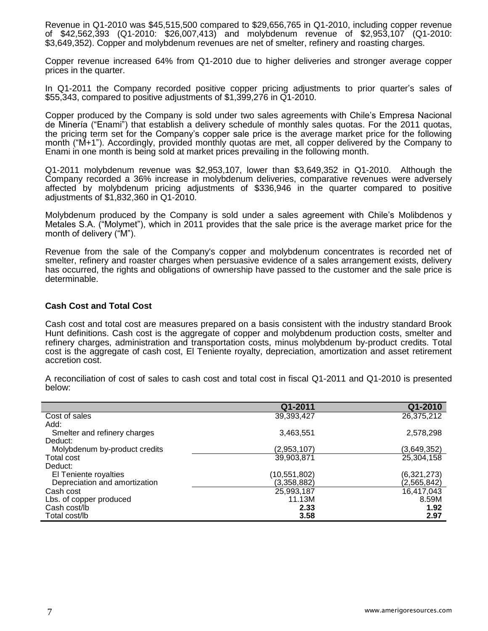Revenue in Q1-2010 was \$45,515,500 compared to \$29,656,765 in Q1-2010, including copper revenue of \$42,562,393 (Q1-2010: \$26,007,413) and molybdenum revenue of \$2,953,107 (Q1-2010: \$3,649,352). Copper and molybdenum revenues are net of smelter, refinery and roasting charges.

Copper revenue increased 64% from Q1-2010 due to higher deliveries and stronger average copper prices in the quarter.

In Q1-2011 the Company recorded positive copper pricing adjustments to prior quarter's sales of \$55,343, compared to positive adjustments of \$1,399,276 in Q1-2010.

Copper produced by the Company is sold under two sales agreements with Chile's Empresa Nacional de Minería ("Enami") that establish a delivery schedule of monthly sales quotas. For the 2011 quotas, the pricing term set for the Company's copper sale price is the average market price for the following month ("M+1"). Accordingly, provided monthly quotas are met, all copper delivered by the Company to Enami in one month is being sold at market prices prevailing in the following month.

Q1-2011 molybdenum revenue was \$2,953,107, lower than \$3,649,352 in Q1-2010. Although the Company recorded a 36% increase in molybdenum deliveries, comparative revenues were adversely affected by molybdenum pricing adjustments of \$336,946 in the quarter compared to positive adjustments of \$1,832,360 in Q1-2010.

Molybdenum produced by the Company is sold under a sales agreement with Chile's Molibdenos y Metales S.A. ("Molymet"), which in 2011 provides that the sale price is the average market price for the month of delivery ("M").

Revenue from the sale of the Company's copper and molybdenum concentrates is recorded net of smelter, refinery and roaster charges when persuasive evidence of a sales arrangement exists, delivery has occurred, the rights and obligations of ownership have passed to the customer and the sale price is determinable.

#### **Cash Cost and Total Cost**

Cash cost and total cost are measures prepared on a basis consistent with the industry standard Brook Hunt definitions. Cash cost is the aggregate of copper and molybdenum production costs, smelter and refinery charges, administration and transportation costs, minus molybdenum by-product credits. Total cost is the aggregate of cash cost, El Teniente royalty, depreciation, amortization and asset retirement accretion cost.

|                               | Q1-2011      | Q1-2010     |
|-------------------------------|--------------|-------------|
| Cost of sales                 | 39,393,427   | 26,375,212  |
| Add:                          |              |             |
| Smelter and refinery charges  | 3,463,551    | 2,578,298   |
| Deduct:                       |              |             |
| Molybdenum by-product credits | (2,953,107)  | (3,649,352) |
| Total cost                    | 39,903,871   | 25,304,158  |
| Deduct:                       |              |             |
| El Teniente royalties         | (10,551,802) | (6,321,273) |
| Depreciation and amortization | (3,358,882)  | (2,565,842) |
| Cash cost                     | 25,993,187   | 16,417,043  |
| Lbs. of copper produced       | 11.13M       | 8.59M       |
| Cash cost/lb                  | 2.33         | 1.92        |
| Total cost/lb                 | 3.58         | 2.97        |

A reconciliation of cost of sales to cash cost and total cost in fiscal Q1-2011 and Q1-2010 is presented below: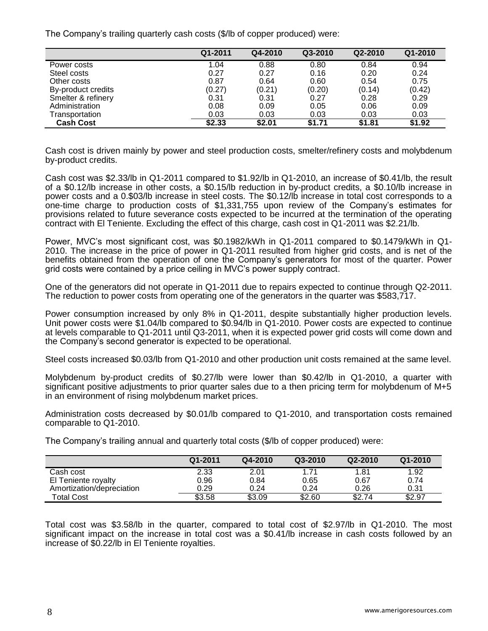The Company's trailing quarterly cash costs (\$/lb of copper produced) were:

|                    | Q1-2011 | Q4-2010 | Q3-2010 | Q2-2010 | Q1-2010 |
|--------------------|---------|---------|---------|---------|---------|
| Power costs        | 1.04    | 0.88    | 0.80    | 0.84    | 0.94    |
| Steel costs        | 0.27    | 0.27    | 0.16    | 0.20    | 0.24    |
| Other costs        | 0.87    | 0.64    | 0.60    | 0.54    | 0.75    |
| By-product credits | (0.27)  | (0.21)  | (0.20)  | (0.14)  | (0.42)  |
| Smelter & refinery | 0.31    | 0.31    | 0.27    | 0.28    | 0.29    |
| Administration     | 0.08    | 0.09    | 0.05    | 0.06    | 0.09    |
| Transportation     | 0.03    | 0.03    | 0.03    | 0.03    | 0.03    |
| <b>Cash Cost</b>   | \$2.33  | \$2.01  | \$1.71  | \$1.81  | \$1.92  |

Cash cost is driven mainly by power and steel production costs, smelter/refinery costs and molybdenum by-product credits.

Cash cost was \$2.33/lb in Q1-2011 compared to \$1.92/lb in Q1-2010, an increase of \$0.41/lb, the result of a \$0.12/lb increase in other costs, a \$0.15/lb reduction in by-product credits, a \$0.10/lb increase in power costs and a 0.\$03/lb increase in steel costs. The \$0.12/lb increase in total cost corresponds to a one-time charge to production costs of \$1,331,755 upon review of the Company's estimates for provisions related to future severance costs expected to be incurred at the termination of the operating contract with El Teniente. Excluding the effect of this charge, cash cost in Q1-2011 was \$2.21/lb.

Power, MVC's most significant cost, was \$0.1982/kWh in Q1-2011 compared to \$0.1479/kWh in Q1- 2010. The increase in the price of power in Q1-2011 resulted from higher grid costs, and is net of the benefits obtained from the operation of one the Company's generators for most of the quarter. Power grid costs were contained by a price ceiling in MVC's power supply contract.

One of the generators did not operate in Q1-2011 due to repairs expected to continue through Q2-2011. The reduction to power costs from operating one of the generators in the quarter was \$583,717.

Power consumption increased by only 8% in Q1-2011, despite substantially higher production levels. Unit power costs were \$1.04/lb compared to \$0.94/lb in Q1-2010. Power costs are expected to continue at levels comparable to Q1-2011 until Q3-2011, when it is expected power grid costs will come down and the Company's second generator is expected to be operational.

Steel costs increased \$0.03/lb from Q1-2010 and other production unit costs remained at the same level.

Molybdenum by-product credits of \$0.27/lb were lower than \$0.42/lb in Q1-2010, a quarter with significant positive adjustments to prior quarter sales due to a then pricing term for molybdenum of M+5 in an environment of rising molybdenum market prices.

Administration costs decreased by \$0.01/lb compared to Q1-2010, and transportation costs remained comparable to Q1-2010.

|                           | Q1-2011 | Q4-2010 | Q3-2010 | Q2-2010 | Q1-2010 |
|---------------------------|---------|---------|---------|---------|---------|
| Cash cost                 | 2.33    | 2.01    | 1.71    | 1.81    | 1.92    |
| El Teniente royalty       | 0.96    | 0.84    | 0.65    | 0.67    | 0.74    |
| Amortization/depreciation | 0.29    | 0.24    | 0.24    | 0.26    | 0.31    |
| <b>Total Cost</b>         | \$3.58  | \$3.09  | \$2.60  | \$2.74  | \$2.97  |

The Company's trailing annual and quarterly total costs (\$/lb of copper produced) were:

Total cost was \$3.58/lb in the quarter, compared to total cost of \$2.97/lb in Q1-2010. The most significant impact on the increase in total cost was a \$0.41/lb increase in cash costs followed by an increase of \$0.22/lb in El Teniente royalties.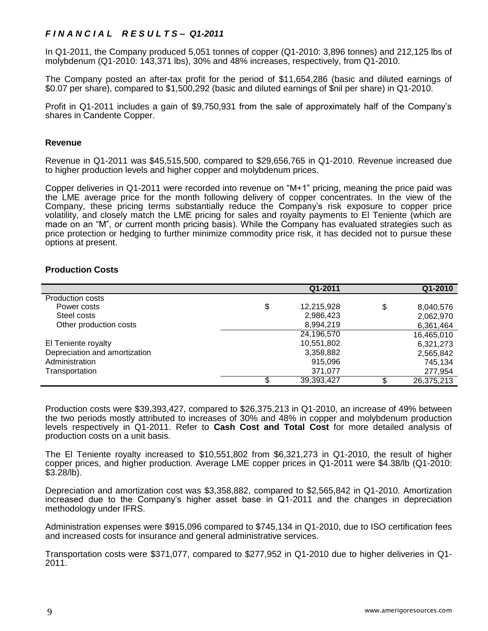# *F I N A N C I A L R E S U L T S – Q1-2011*

In Q1-2011, the Company produced 5,051 tonnes of copper (Q1-2010: 3,896 tonnes) and 212,125 lbs of molybdenum (Q1-2010: 143,371 lbs), 30% and 48% increases, respectively, from Q1-2010.

The Company posted an after-tax profit for the period of \$11,654,286 (basic and diluted earnings of \$0.07 per share), compared to \$1,500,292 (basic and diluted earnings of \$nil per share) in Q1-2010.

Profit in Q1-2011 includes a gain of \$9,750,931 from the sale of approximately half of the Company's shares in Candente Copper.

#### **Revenue**

Revenue in Q1-2011 was \$45,515,500, compared to \$29,656,765 in Q1-2010. Revenue increased due to higher production levels and higher copper and molybdenum prices.

Copper deliveries in Q1-2011 were recorded into revenue on "M+1" pricing, meaning the price paid was the LME average price for the month following delivery of copper concentrates. In the view of the Company, these pricing terms substantially reduce the Company's risk exposure to copper price volatility, and closely match the LME pricing for sales and royalty payments to El Teniente (which are made on an "M", or current month pricing basis). While the Company has evaluated strategies such as price protection or hedging to further minimize commodity price risk, it has decided not to pursue these options at present.

#### **Production Costs**

|                               | Q1-2011          |    | Q1-2010    |
|-------------------------------|------------------|----|------------|
| <b>Production costs</b>       |                  |    |            |
| Power costs                   | \$<br>12,215,928 | \$ | 8,040,576  |
| Steel costs                   | 2,986,423        |    | 2,062,970  |
| Other production costs        | 8,994,219        |    | 6,361,464  |
|                               | 24,196,570       |    | 16,465,010 |
| El Teniente royalty           | 10,551,802       |    | 6,321,273  |
| Depreciation and amortization | 3,358,882        |    | 2,565,842  |
| Administration                | 915,096          |    | 745,134    |
| Transportation                | 371,077          |    | 277,954    |
|                               | \$<br>39,393,427 | c  | 26,375,213 |

Production costs were \$39,393,427, compared to \$26,375,213 in Q1-2010, an increase of 49% between the two periods mostly attributed to increases of 30% and 48% in copper and molybdenum production levels respectively in Q1-2011. Refer to **Cash Cost and Total Cost** for more detailed analysis of production costs on a unit basis.

The El Teniente royalty increased to \$10,551,802 from \$6,321,273 in Q1-2010, the result of higher copper prices, and higher production. Average LME copper prices in Q1-2011 were \$4.38/lb (Q1-2010: \$3.28/lb).

Depreciation and amortization cost was \$3,358,882, compared to \$2,565,842 in Q1-2010. Amortization increased due to the Company's higher asset base in Q1-2011 and the changes in depreciation methodology under IFRS.

Administration expenses were \$915,096 compared to \$745,134 in Q1-2010, due to ISO certification fees and increased costs for insurance and general administrative services.

Transportation costs were \$371,077, compared to \$277,952 in Q1-2010 due to higher deliveries in Q1- 2011.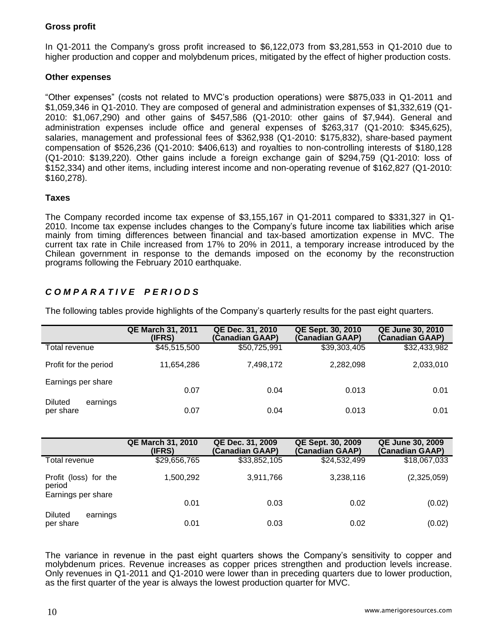# **Gross profit**

In Q1-2011 the Company's gross profit increased to \$6,122,073 from \$3,281,553 in Q1-2010 due to higher production and copper and molybdenum prices, mitigated by the effect of higher production costs.

## **Other expenses**

"Other expenses" (costs not related to MVC's production operations) were \$875,033 in Q1-2011 and \$1,059,346 in Q1-2010. They are composed of general and administration expenses of \$1,332,619 (Q1- 2010: \$1,067,290) and other gains of \$457,586 (Q1-2010: other gains of \$7,944). General and administration expenses include office and general expenses of \$263,317 (Q1-2010: \$345,625), salaries, management and professional fees of \$362,938 (Q1-2010: \$175,832), share-based payment compensation of \$526,236 (Q1-2010: \$406,613) and royalties to non-controlling interests of \$180,128 (Q1-2010: \$139,220). Other gains include a foreign exchange gain of \$294,759 (Q1-2010: loss of \$152,334) and other items, including interest income and non-operating revenue of \$162,827 (Q1-2010: \$160,278).

## **Taxes**

The Company recorded income tax expense of \$3,155,167 in Q1-2011 compared to \$331,327 in Q1- 2010. Income tax expense includes changes to the Company's future income tax liabilities which arise mainly from timing differences between financial and tax-based amortization expense in MVC. The current tax rate in Chile increased from 17% to 20% in 2011, a temporary increase introduced by the Chilean government in response to the demands imposed on the economy by the reconstruction programs following the February 2010 earthquake.

# *C O M P A R A T I V E P E R I O D S*

|                                         | <b>QE March 31, 2011</b><br>(IFRS) | QE Dec. 31, 2010<br>(Canadian GAAP) | QE Sept. 30, 2010<br>(Canadian GAAP) | <b>QE June 30, 2010</b><br>(Canadian GAAP) |
|-----------------------------------------|------------------------------------|-------------------------------------|--------------------------------------|--------------------------------------------|
| Total revenue                           | \$45,515,500                       | \$50,725,991                        | \$39,303,405                         | \$32,433,982                               |
| Profit for the period                   | 11,654,286                         | 7,498,172                           | 2,282,098                            | 2,033,010                                  |
| Earnings per share                      | 0.07                               | 0.04                                | 0.013                                | 0.01                                       |
| <b>Diluted</b><br>earnings<br>per share | 0.07                               | 0.04                                | 0.013                                | 0.01                                       |

The following tables provide highlights of the Company's quarterly results for the past eight quarters.

|                                                       | <b>QE March 31, 2010</b><br>(IFRS) | QE Dec. 31, 2009<br>(Canadian GAAP) | QE Sept. 30, 2009<br>(Canadian GAAP) | <b>QE June 30, 2009</b><br>(Canadian GAAP) |
|-------------------------------------------------------|------------------------------------|-------------------------------------|--------------------------------------|--------------------------------------------|
| Total revenue                                         | \$29,656,765                       | \$33,852,105                        | \$24,532,499                         | \$18,067,033                               |
| Profit (loss) for the<br>period<br>Earnings per share | 1,500,292                          | 3,911,766                           | 3,238,116                            | (2,325,059)                                |
|                                                       | 0.01                               | 0.03                                | 0.02                                 | (0.02)                                     |
| <b>Diluted</b><br>earnings<br>per share               | 0.01                               | 0.03                                | 0.02                                 | (0.02)                                     |

The variance in revenue in the past eight quarters shows the Company's sensitivity to copper and molybdenum prices. Revenue increases as copper prices strengthen and production levels increase. Only revenues in Q1-2011 and Q1-2010 were lower than in preceding quarters due to lower production, as the first quarter of the year is always the lowest production quarter for MVC.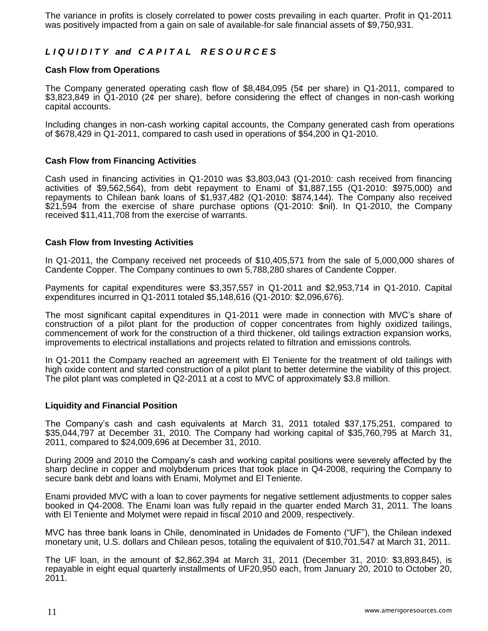The variance in profits is closely correlated to power costs prevailing in each quarter. Profit in Q1-2011 was positively impacted from a gain on sale of available-for sale financial assets of \$9,750,931.

# *L I Q U I D I T Y and C A P I T A L R E S O U R C E S*

## **Cash Flow from Operations**

The Company generated operating cash flow of \$8,484,095 (5¢ per share) in Q1-2011, compared to \$3,823,849 in Q1-2010 (2¢ per share), before considering the effect of changes in non-cash working capital accounts.

Including changes in non-cash working capital accounts, the Company generated cash from operations of \$678,429 in Q1-2011, compared to cash used in operations of \$54,200 in Q1-2010.

## **Cash Flow from Financing Activities**

Cash used in financing activities in Q1-2010 was \$3,803,043 (Q1-2010: cash received from financing activities of \$9,562,564), from debt repayment to Enami of \$1,887,155 (Q1-2010: \$975,000) and repayments to Chilean bank loans of \$1,937,482 (Q1-2010: \$874,144). The Company also received \$21,594 from the exercise of share purchase options (Q1-2010: \$nil). In Q1-2010, the Company received \$11,411,708 from the exercise of warrants.

## **Cash Flow from Investing Activities**

In Q1-2011, the Company received net proceeds of \$10,405,571 from the sale of 5,000,000 shares of Candente Copper. The Company continues to own 5,788,280 shares of Candente Copper.

Payments for capital expenditures were \$3,357,557 in Q1-2011 and \$2,953,714 in Q1-2010. Capital expenditures incurred in Q1-2011 totaled \$5,148,616 (Q1-2010: \$2,096,676).

The most significant capital expenditures in Q1-2011 were made in connection with MVC's share of construction of a pilot plant for the production of copper concentrates from highly oxidized tailings, commencement of work for the construction of a third thickener, old tailings extraction expansion works, improvements to electrical installations and projects related to filtration and emissions controls.

In Q1-2011 the Company reached an agreement with El Teniente for the treatment of old tailings with high oxide content and started construction of a pilot plant to better determine the viability of this project. The pilot plant was completed in Q2-2011 at a cost to MVC of approximately \$3.8 million.

#### **Liquidity and Financial Position**

The Company's cash and cash equivalents at March 31, 2011 totaled \$37,175,251, compared to \$35,044,797 at December 31, 2010. The Company had working capital of \$35,760,795 at March 31, 2011, compared to \$24,009,696 at December 31, 2010.

During 2009 and 2010 the Company's cash and working capital positions were severely affected by the sharp decline in copper and molybdenum prices that took place in Q4-2008, requiring the Company to secure bank debt and loans with Enami, Molymet and El Teniente.

Enami provided MVC with a loan to cover payments for negative settlement adjustments to copper sales booked in Q4-2008. The Enami loan was fully repaid in the quarter ended March 31, 2011. The loans with El Teniente and Molymet were repaid in fiscal 2010 and 2009, respectively.

MVC has three bank loans in Chile, denominated in Unidades de Fomento ("UF"), the Chilean indexed monetary unit, U.S. dollars and Chilean pesos, totaling the equivalent of \$10,701,547 at March 31, 2011.

The UF loan, in the amount of \$2,862,394 at March 31, 2011 (December 31, 2010: \$3,893,845), is repayable in eight equal quarterly installments of UF20,950 each, from January 20, 2010 to October 20, 2011.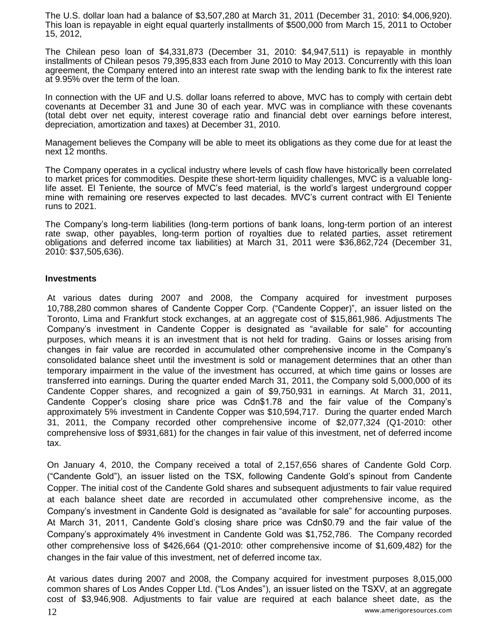The U.S. dollar loan had a balance of \$3,507,280 at March 31, 2011 (December 31, 2010: \$4,006,920). This loan is repayable in eight equal quarterly installments of \$500,000 from March 15, 2011 to October 15, 2012,

The Chilean peso loan of \$4,331,873 (December 31, 2010: \$4,947,511) is repayable in monthly installments of Chilean pesos 79,395,833 each from June 2010 to May 2013. Concurrently with this loan agreement, the Company entered into an interest rate swap with the lending bank to fix the interest rate at 9.95% over the term of the loan.

In connection with the UF and U.S. dollar loans referred to above, MVC has to comply with certain debt covenants at December 31 and June 30 of each year. MVC was in compliance with these covenants (total debt over net equity, interest coverage ratio and financial debt over earnings before interest, depreciation, amortization and taxes) at December 31, 2010.

Management believes the Company will be able to meet its obligations as they come due for at least the next 12 months.

The Company operates in a cyclical industry where levels of cash flow have historically been correlated to market prices for commodities. Despite these short-term liquidity challenges, MVC is a valuable longlife asset. El Teniente, the source of MVC's feed material, is the world's largest underground copper mine with remaining ore reserves expected to last decades. MVC's current contract with El Teniente runs to 2021.

The Company's long-term liabilities (long-term portions of bank loans, long-term portion of an interest rate swap, other payables, long-term portion of royalties due to related parties, asset retirement obligations and deferred income tax liabilities) at March 31, 2011 were \$36,862,724 (December 31, 2010: \$37,505,636).

#### **Investments**

At various dates during 2007 and 2008, the Company acquired for investment purposes 10,788,280 common shares of Candente Copper Corp. ("Candente Copper)", an issuer listed on the Toronto, Lima and Frankfurt stock exchanges, at an aggregate cost of \$15,861,986. Adjustments The Company's investment in Candente Copper is designated as "available for sale" for accounting purposes, which means it is an investment that is not held for trading. Gains or losses arising from changes in fair value are recorded in accumulated other comprehensive income in the Company's consolidated balance sheet until the investment is sold or management determines that an other than temporary impairment in the value of the investment has occurred, at which time gains or losses are transferred into earnings. During the quarter ended March 31, 2011, the Company sold 5,000,000 of its Candente Copper shares, and recognized a gain of \$9,750,931 in earnings. At March 31, 2011, Candente Copper's closing share price was Cdn\$1.78 and the fair value of the Company's approximately 5% investment in Candente Copper was \$10,594,717. During the quarter ended March 31, 2011, the Company recorded other comprehensive income of \$2,077,324 (Q1-2010: other comprehensive loss of \$931,681) for the changes in fair value of this investment, net of deferred income tax.

On January 4, 2010, the Company received a total of 2,157,656 shares of Candente Gold Corp. ("Candente Gold"), an issuer listed on the TSX, following Candente Gold's spinout from Candente Copper. The initial cost of the Candente Gold shares and subsequent adjustments to fair value required at each balance sheet date are recorded in accumulated other comprehensive income, as the Company's investment in Candente Gold is designated as "available for sale" for accounting purposes. At March 31, 2011, Candente Gold's closing share price was Cdn\$0.79 and the fair value of the Company's approximately 4% investment in Candente Gold was \$1,752,786. The Company recorded other comprehensive loss of \$426,664 (Q1-2010: other comprehensive income of \$1,609,482) for the changes in the fair value of this investment, net of deferred income tax.

12 www.amerigoresources.com At various dates during 2007 and 2008, the Company acquired for investment purposes 8,015,000 common shares of Los Andes Copper Ltd. ("Los Andes"), an issuer listed on the TSXV, at an aggregate cost of \$3,946,908. Adjustments to fair value are required at each balance sheet date, as the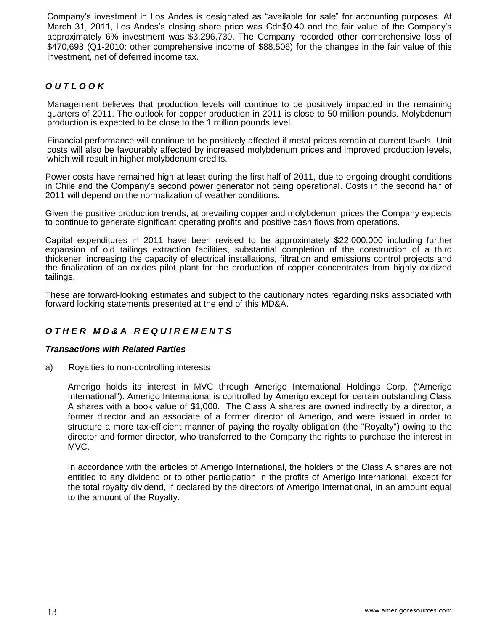Company's investment in Los Andes is designated as "available for sale" for accounting purposes. At March 31, 2011, Los Andes's closing share price was Cdn\$0.40 and the fair value of the Company's approximately 6% investment was \$3,296,730. The Company recorded other comprehensive loss of \$470,698 (Q1-2010: other comprehensive income of \$88,506) for the changes in the fair value of this investment, net of deferred income tax.

# *O U T L O O K*

Management believes that production levels will continue to be positively impacted in the remaining quarters of 2011. The outlook for copper production in 2011 is close to 50 million pounds. Molybdenum production is expected to be close to the 1 million pounds level.

Financial performance will continue to be positively affected if metal prices remain at current levels. Unit costs will also be favourably affected by increased molybdenum prices and improved production levels, which will result in higher molybdenum credits.

Power costs have remained high at least during the first half of 2011, due to ongoing drought conditions in Chile and the Company's second power generator not being operational. Costs in the second half of 2011 will depend on the normalization of weather conditions.

Given the positive production trends, at prevailing copper and molybdenum prices the Company expects to continue to generate significant operating profits and positive cash flows from operations.

Capital expenditures in 2011 have been revised to be approximately \$22,000,000 including further expansion of old tailings extraction facilities, substantial completion of the construction of a third thickener, increasing the capacity of electrical installations, filtration and emissions control projects and the finalization of an oxides pilot plant for the production of copper concentrates from highly oxidized tailings.

These are forward-looking estimates and subject to the cautionary notes regarding risks associated with forward looking statements presented at the end of this MD&A.

# *O T H E R M D & A R E Q U I R E M E N T S*

#### *Transactions with Related Parties*

a) Royalties to non-controlling interests

Amerigo holds its interest in MVC through Amerigo International Holdings Corp. ("Amerigo International"). Amerigo International is controlled by Amerigo except for certain outstanding Class A shares with a book value of \$1,000. The Class A shares are owned indirectly by a director, a former director and an associate of a former director of Amerigo, and were issued in order to structure a more tax-efficient manner of paying the royalty obligation (the "Royalty") owing to the director and former director, who transferred to the Company the rights to purchase the interest in MVC.

In accordance with the articles of Amerigo International, the holders of the Class A shares are not entitled to any dividend or to other participation in the profits of Amerigo International, except for the total royalty dividend, if declared by the directors of Amerigo International, in an amount equal to the amount of the Royalty.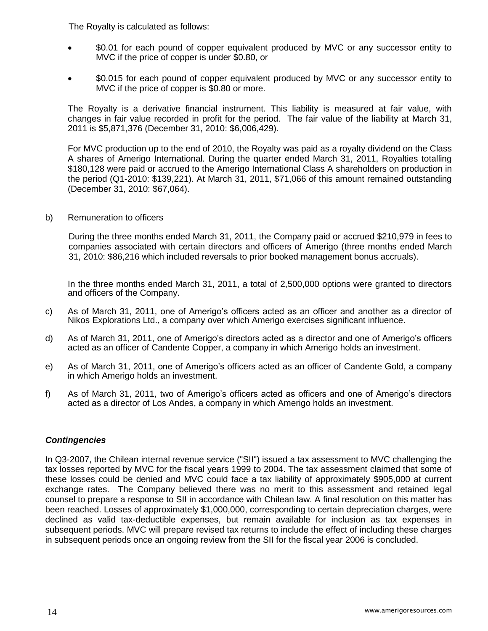The Royalty is calculated as follows:

- \$0.01 for each pound of copper equivalent produced by MVC or any successor entity to MVC if the price of copper is under \$0.80, or
- \$0.015 for each pound of copper equivalent produced by MVC or any successor entity to MVC if the price of copper is \$0.80 or more.

The Royalty is a derivative financial instrument. This liability is measured at fair value, with changes in fair value recorded in profit for the period. The fair value of the liability at March 31, 2011 is \$5,871,376 (December 31, 2010: \$6,006,429).

For MVC production up to the end of 2010, the Royalty was paid as a royalty dividend on the Class A shares of Amerigo International. During the quarter ended March 31, 2011, Royalties totalling \$180,128 were paid or accrued to the Amerigo International Class A shareholders on production in the period (Q1-2010: \$139,221). At March 31, 2011, \$71,066 of this amount remained outstanding (December 31, 2010: \$67,064).

b) Remuneration to officers

During the three months ended March 31, 2011, the Company paid or accrued \$210,979 in fees to companies associated with certain directors and officers of Amerigo (three months ended March 31, 2010: \$86,216 which included reversals to prior booked management bonus accruals).

In the three months ended March 31, 2011, a total of 2,500,000 options were granted to directors and officers of the Company.

- c) As of March 31, 2011, one of Amerigo's officers acted as an officer and another as a director of Nikos Explorations Ltd., a company over which Amerigo exercises significant influence.
- d) As of March 31, 2011, one of Amerigo's directors acted as a director and one of Amerigo's officers acted as an officer of Candente Copper, a company in which Amerigo holds an investment.
- e) As of March 31, 2011, one of Amerigo's officers acted as an officer of Candente Gold, a company in which Amerigo holds an investment.
- f) As of March 31, 2011, two of Amerigo's officers acted as officers and one of Amerigo's directors acted as a director of Los Andes, a company in which Amerigo holds an investment.

## *Contingencies*

In Q3-2007, the Chilean internal revenue service ("SII") issued a tax assessment to MVC challenging the tax losses reported by MVC for the fiscal years 1999 to 2004. The tax assessment claimed that some of these losses could be denied and MVC could face a tax liability of approximately \$905,000 at current exchange rates. The Company believed there was no merit to this assessment and retained legal counsel to prepare a response to SII in accordance with Chilean law. A final resolution on this matter has been reached. Losses of approximately \$1,000,000, corresponding to certain depreciation charges, were declined as valid tax-deductible expenses, but remain available for inclusion as tax expenses in subsequent periods. MVC will prepare revised tax returns to include the effect of including these charges in subsequent periods once an ongoing review from the SII for the fiscal year 2006 is concluded.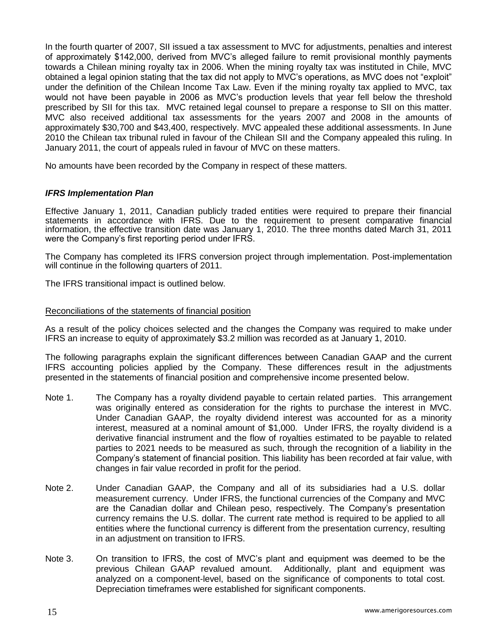In the fourth quarter of 2007, SII issued a tax assessment to MVC for adjustments, penalties and interest of approximately \$142,000, derived from MVC's alleged failure to remit provisional monthly payments towards a Chilean mining royalty tax in 2006. When the mining royalty tax was instituted in Chile, MVC obtained a legal opinion stating that the tax did not apply to MVC's operations, as MVC does not "exploit" under the definition of the Chilean Income Tax Law. Even if the mining royalty tax applied to MVC, tax would not have been payable in 2006 as MVC's production levels that year fell below the threshold prescribed by SII for this tax. MVC retained legal counsel to prepare a response to SII on this matter. MVC also received additional tax assessments for the years 2007 and 2008 in the amounts of approximately \$30,700 and \$43,400, respectively. MVC appealed these additional assessments. In June 2010 the Chilean tax tribunal ruled in favour of the Chilean SII and the Company appealed this ruling. In January 2011, the court of appeals ruled in favour of MVC on these matters.

No amounts have been recorded by the Company in respect of these matters.

## *IFRS Implementation Plan*

Effective January 1, 2011, Canadian publicly traded entities were required to prepare their financial statements in accordance with IFRS. Due to the requirement to present comparative financial information, the effective transition date was January 1, 2010. The three months dated March 31, 2011 were the Company's first reporting period under IFRS.

The Company has completed its IFRS conversion project through implementation. Post-implementation will continue in the following quarters of 2011.

The IFRS transitional impact is outlined below.

#### Reconciliations of the statements of financial position

As a result of the policy choices selected and the changes the Company was required to make under IFRS an increase to equity of approximately \$3.2 million was recorded as at January 1, 2010.

The following paragraphs explain the significant differences between Canadian GAAP and the current IFRS accounting policies applied by the Company. These differences result in the adjustments presented in the statements of financial position and comprehensive income presented below.

- Note 1. The Company has a royalty dividend payable to certain related parties. This arrangement was originally entered as consideration for the rights to purchase the interest in MVC. Under Canadian GAAP, the royalty dividend interest was accounted for as a minority interest, measured at a nominal amount of \$1,000. Under IFRS, the royalty dividend is a derivative financial instrument and the flow of royalties estimated to be payable to related parties to 2021 needs to be measured as such, through the recognition of a liability in the Company's statement of financial position. This liability has been recorded at fair value, with changes in fair value recorded in profit for the period.
- Note 2. Under Canadian GAAP, the Company and all of its subsidiaries had a U.S. dollar measurement currency. Under IFRS, the functional currencies of the Company and MVC are the Canadian dollar and Chilean peso, respectively. The Company's presentation currency remains the U.S. dollar. The current rate method is required to be applied to all entities where the functional currency is different from the presentation currency, resulting in an adjustment on transition to IFRS.
- Note 3. On transition to IFRS, the cost of MVC's plant and equipment was deemed to be the previous Chilean GAAP revalued amount. Additionally, plant and equipment was analyzed on a component-level, based on the significance of components to total cost. Depreciation timeframes were established for significant components.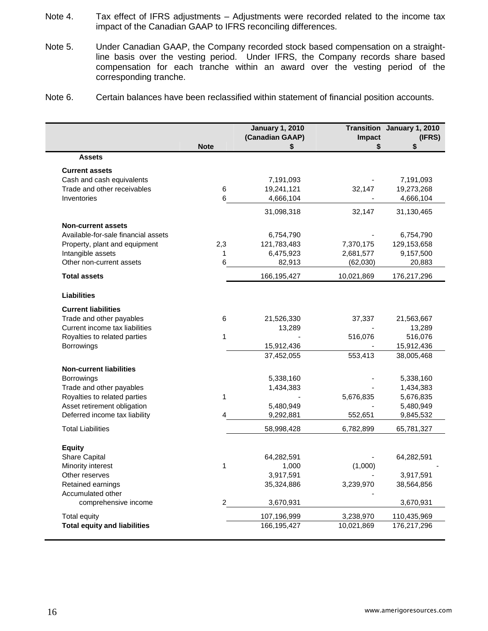- Note 4. Tax effect of IFRS adjustments Adjustments were recorded related to the income tax impact of the Canadian GAAP to IFRS reconciling differences.
- Note 5. Under Canadian GAAP, the Company recorded stock based compensation on a straightline basis over the vesting period. Under IFRS, the Company records share based compensation for each tranche within an award over the vesting period of the corresponding tranche.
- Note 6. Certain balances have been reclassified within statement of financial position accounts.

|                                     | <b>Note</b>    | <b>January 1, 2010</b><br>(Canadian GAAP)<br>S | Impact<br>\$ | Transition January 1, 2010<br>(IFRS)<br>\$ |
|-------------------------------------|----------------|------------------------------------------------|--------------|--------------------------------------------|
| <b>Assets</b>                       |                |                                                |              |                                            |
| <b>Current assets</b>               |                |                                                |              |                                            |
| Cash and cash equivalents           |                | 7,191,093                                      |              | 7,191,093                                  |
| Trade and other receivables         | $\,6$          | 19,241,121                                     | 32,147       | 19,273,268                                 |
| Inventories                         | 6              | 4,666,104                                      |              | 4,666,104                                  |
|                                     |                | 31,098,318                                     | 32,147       | 31,130,465                                 |
| <b>Non-current assets</b>           |                |                                                |              |                                            |
| Available-for-sale financial assets |                | 6,754,790                                      |              | 6,754,790                                  |
| Property, plant and equipment       | 2,3            | 121,783,483                                    | 7,370,175    | 129,153,658                                |
| Intangible assets                   | 1              | 6,475,923                                      | 2,681,577    | 9,157,500                                  |
| Other non-current assets            | 6              | 82,913                                         | (62,030)     | 20,883                                     |
| <b>Total assets</b>                 |                | 166,195,427                                    | 10,021,869   | 176,217,296                                |
| <b>Liabilities</b>                  |                |                                                |              |                                            |
| <b>Current liabilities</b>          |                |                                                |              |                                            |
| Trade and other payables            | 6              | 21,526,330                                     | 37,337       | 21,563,667                                 |
| Current income tax liabilities      |                | 13,289                                         |              | 13,289                                     |
| Royalties to related parties        | 1              |                                                | 516,076      | 516,076                                    |
| <b>Borrowings</b>                   |                | 15,912,436                                     |              | 15,912,436                                 |
|                                     |                | 37,452,055                                     | 553,413      | 38,005,468                                 |
| <b>Non-current liabilities</b>      |                |                                                |              |                                            |
| <b>Borrowings</b>                   |                | 5,338,160                                      |              | 5,338,160                                  |
| Trade and other payables            |                | 1,434,383                                      |              | 1,434,383                                  |
| Royalties to related parties        | 1              |                                                | 5,676,835    | 5,676,835                                  |
| Asset retirement obligation         |                | 5,480,949                                      |              | 5,480,949                                  |
| Deferred income tax liability       |                | 9,292,881                                      | 552,651      | 9,845,532                                  |
| <b>Total Liabilities</b>            |                | 58,998,428                                     | 6,782,899    | 65,781,327                                 |
| <b>Equity</b>                       |                |                                                |              |                                            |
| Share Capital                       |                | 64,282,591                                     |              | 64,282,591                                 |
| Minority interest                   | 1              | 1,000                                          | (1,000)      |                                            |
| Other reserves                      |                | 3,917,591                                      |              | 3,917,591                                  |
| Retained earnings                   |                | 35,324,886                                     | 3,239,970    | 38,564,856                                 |
| Accumulated other                   |                |                                                |              |                                            |
| comprehensive income                | $\overline{c}$ | 3,670,931                                      |              | 3,670,931                                  |
| <b>Total equity</b>                 |                | 107,196,999                                    | 3,238,970    | 110,435,969                                |
| <b>Total equity and liabilities</b> |                | 166,195,427                                    | 10,021,869   | 176,217,296                                |
|                                     |                |                                                |              |                                            |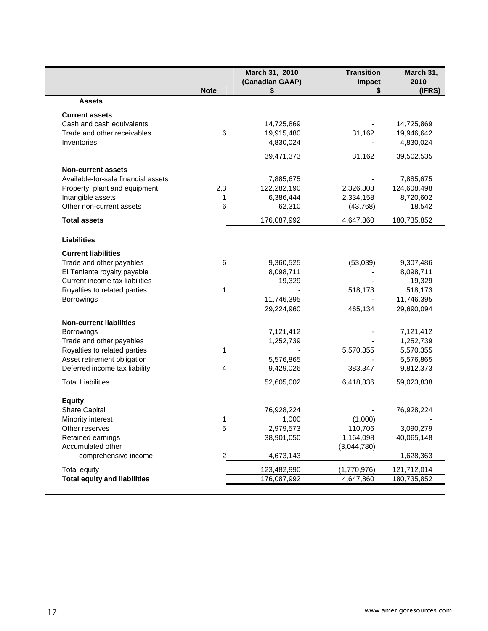|                                     | <b>Note</b>    | March 31, 2010<br>(Canadian GAAP)<br>\$ | <b>Transition</b><br>Impact<br>\$ | March 31,<br>2010<br>(IFRS) |
|-------------------------------------|----------------|-----------------------------------------|-----------------------------------|-----------------------------|
| <b>Assets</b>                       |                |                                         |                                   |                             |
| <b>Current assets</b>               |                |                                         |                                   |                             |
| Cash and cash equivalents           |                | 14,725,869                              |                                   | 14,725,869                  |
| Trade and other receivables         | 6              | 19,915,480                              | 31,162                            | 19,946,642                  |
| Inventories                         |                | 4,830,024                               | $\frac{1}{2}$                     | 4,830,024                   |
|                                     |                | 39,471,373                              | 31,162                            | 39,502,535                  |
| <b>Non-current assets</b>           |                |                                         |                                   |                             |
| Available-for-sale financial assets |                | 7,885,675                               |                                   | 7,885,675                   |
| Property, plant and equipment       | 2,3            | 122,282,190                             | 2,326,308                         | 124,608,498                 |
| Intangible assets                   | 1              | 6,386,444                               | 2,334,158                         | 8,720,602                   |
| Other non-current assets            | 6              | 62,310                                  | (43, 768)                         | 18,542                      |
| <b>Total assets</b>                 |                | 176,087,992                             | 4,647,860                         | 180,735,852                 |
| <b>Liabilities</b>                  |                |                                         |                                   |                             |
| <b>Current liabilities</b>          |                |                                         |                                   |                             |
| Trade and other payables            | 6              | 9,360,525                               | (53,039)                          | 9,307,486                   |
| El Teniente royalty payable         |                | 8,098,711                               |                                   | 8,098,711                   |
| Current income tax liabilities      |                | 19,329                                  |                                   | 19,329                      |
| Royalties to related parties        | 1              |                                         | 518,173                           | 518,173                     |
| Borrowings                          |                | 11,746,395                              |                                   | 11,746,395                  |
|                                     |                | 29,224,960                              | 465,134                           | 29,690,094                  |
| <b>Non-current liabilities</b>      |                |                                         |                                   |                             |
| Borrowings                          |                | 7,121,412                               |                                   | 7,121,412                   |
| Trade and other payables            |                | 1,252,739                               |                                   | 1,252,739                   |
| Royalties to related parties        | 1              |                                         | 5,570,355                         | 5,570,355                   |
| Asset retirement obligation         |                | 5,576,865                               |                                   | 5,576,865                   |
| Deferred income tax liability       | 4              | 9,429,026                               | 383,347                           | 9,812,373                   |
| <b>Total Liabilities</b>            |                | 52,605,002                              | 6,418,836                         | 59,023,838                  |
| <b>Equity</b>                       |                |                                         |                                   |                             |
| <b>Share Capital</b>                |                | 76,928,224                              |                                   | 76,928,224                  |
| Minority interest                   | 1              | 1,000                                   | (1,000)                           |                             |
| Other reserves                      | 5              | 2,979,573                               | 110,706                           | 3,090,279                   |
| Retained earnings                   |                | 38,901,050                              | 1,164,098                         | 40,065,148                  |
| Accumulated other                   |                |                                         | (3,044,780)                       |                             |
| comprehensive income                | $\overline{c}$ | 4,673,143                               |                                   | 1,628,363                   |
| Total equity                        |                | 123,482,990                             | (1,770,976)                       | 121,712,014                 |
|                                     |                |                                         |                                   |                             |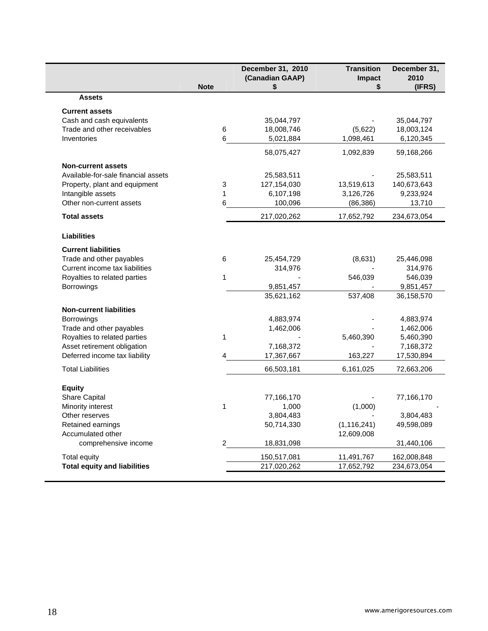|                                     | <b>Note</b> | December 31, 2010<br>(Canadian GAAP)<br>\$ | <b>Transition</b><br>Impact<br>\$ | December 31,<br>2010<br>(IFRS) |
|-------------------------------------|-------------|--------------------------------------------|-----------------------------------|--------------------------------|
| <b>Assets</b>                       |             |                                            |                                   |                                |
| <b>Current assets</b>               |             |                                            |                                   |                                |
| Cash and cash equivalents           |             | 35,044,797                                 |                                   | 35,044,797                     |
| Trade and other receivables         | $\,6$       | 18,008,746                                 | (5,622)                           | 18,003,124                     |
| Inventories                         | 6           | 5,021,884                                  | 1,098,461                         | 6,120,345                      |
|                                     |             | 58,075,427                                 | 1,092,839                         | 59,168,266                     |
| <b>Non-current assets</b>           |             |                                            |                                   |                                |
| Available-for-sale financial assets |             | 25,583,511                                 |                                   | 25,583,511                     |
| Property, plant and equipment       | 3           | 127,154,030                                | 13,519,613                        | 140,673,643                    |
| Intangible assets                   | 1           | 6,107,198                                  | 3,126,726                         | 9,233,924                      |
| Other non-current assets            | 6           | 100,096                                    | (86, 386)                         | 13,710                         |
| <b>Total assets</b>                 |             | 217,020,262                                | 17,652,792                        | 234,673,054                    |
| <b>Liabilities</b>                  |             |                                            |                                   |                                |
| <b>Current liabilities</b>          |             |                                            |                                   |                                |
| Trade and other payables            | 6           | 25,454,729                                 | (8,631)                           | 25,446,098                     |
| Current income tax liabilities      |             | 314,976                                    |                                   | 314,976                        |
| Royalties to related parties        | 1           |                                            | 546,039                           | 546,039                        |
| Borrowings                          |             | 9,851,457                                  |                                   | 9,851,457                      |
|                                     |             | 35,621,162                                 | 537,408                           | 36,158,570                     |
| <b>Non-current liabilities</b>      |             |                                            |                                   |                                |
| Borrowings                          |             | 4,883,974                                  |                                   | 4,883,974                      |
| Trade and other payables            |             | 1,462,006                                  |                                   | 1,462,006                      |
| Royalties to related parties        | 1           |                                            | 5,460,390                         | 5,460,390                      |
| Asset retirement obligation         |             | 7,168,372                                  |                                   | 7,168,372                      |
| Deferred income tax liability       | 4           | 17,367,667                                 | 163,227                           | 17,530,894                     |
| <b>Total Liabilities</b>            |             | 66,503,181                                 | 6,161,025                         | 72,663,206                     |
| <b>Equity</b>                       |             |                                            |                                   |                                |
| Share Capital                       |             | 77,166,170                                 |                                   | 77,166,170                     |
| Minority interest                   | 1           | 1,000                                      | (1,000)                           |                                |
| Other reserves                      |             | 3,804,483                                  |                                   | 3,804,483                      |
| Retained earnings                   |             | 50,714,330                                 | (1, 116, 241)                     | 49,598,089                     |
| Accumulated other                   |             |                                            | 12,609,008                        |                                |
| comprehensive income                | 2           | 18,831,098                                 |                                   | 31,440,106                     |
| Total equity                        |             | 150,517,081                                | 11,491,767                        | 162,008,848                    |
| <b>Total equity and liabilities</b> |             | 217,020,262                                | 17,652,792                        | 234,673,054                    |
|                                     |             |                                            |                                   |                                |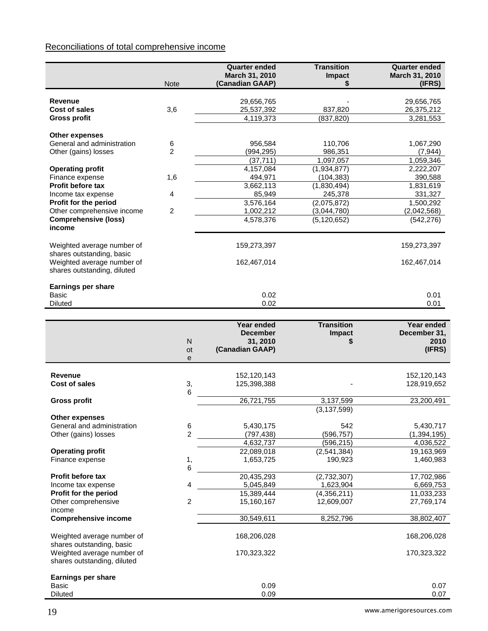# Reconciliations of total comprehensive income

|                                           |                 | <b>Quarter ended</b>        | <b>Transition</b>        | <b>Quarter ended</b>     |
|-------------------------------------------|-----------------|-----------------------------|--------------------------|--------------------------|
|                                           |                 | March 31, 2010              | Impact                   | March 31, 2010           |
|                                           | <b>Note</b>     | (Canadian GAAP)             | S                        | (IFRS)                   |
| Revenue                                   |                 |                             |                          |                          |
| Cost of sales                             | 3,6             | 29,656,765<br>25,537,392    | 837,820                  | 29,656,765<br>26,375,212 |
| <b>Gross profit</b>                       |                 | 4,119,373                   | (837, 820)               | 3,281,553                |
|                                           |                 |                             |                          |                          |
| Other expenses                            |                 |                             |                          |                          |
| General and administration                | 6               | 956,584                     | 110,706                  | 1,067,290                |
| Other (gains) losses                      | $\overline{2}$  | (994, 295)                  | 986,351                  | (7, 944)                 |
|                                           |                 | (37, 711)                   | 1,097,057                | 1,059,346                |
| <b>Operating profit</b>                   |                 | 4,157,084                   | (1,934,877)              | 2,222,207                |
| Finance expense                           | 1,6             | 494,971                     | (104, 383)               | 390,588                  |
| <b>Profit before tax</b>                  |                 | 3,662,113                   | (1,830,494)              | 1,831,619                |
| Income tax expense                        | 4               | 85,949                      | 245,378                  | 331,327                  |
| Profit for the period                     |                 | 3,576,164                   | (2,075,872)              | 1,500,292                |
| Other comprehensive income                | $\overline{c}$  | 1,002,212                   | (3,044,780)              | (2,042,568)              |
| <b>Comprehensive (loss)</b>               |                 | 4,578,376                   | (5, 120, 652)            | (542, 276)               |
| income                                    |                 |                             |                          |                          |
| Weighted average number of                |                 | 159,273,397                 |                          | 159,273,397              |
| shares outstanding, basic                 |                 |                             |                          |                          |
| Weighted average number of                |                 | 162,467,014                 |                          | 162,467,014              |
| shares outstanding, diluted               |                 |                             |                          |                          |
|                                           |                 |                             |                          |                          |
| <b>Earnings per share</b>                 |                 |                             |                          |                          |
| <b>Basic</b>                              |                 | 0.02                        |                          | 0.01                     |
| <b>Diluted</b>                            |                 | 0.02                        |                          | 0.01                     |
|                                           |                 |                             |                          |                          |
|                                           |                 | Year ended                  | <b>Transition</b>        | Year ended               |
|                                           |                 | <b>December</b>             | Impact                   | December 31,<br>2010     |
|                                           | ${\sf N}$<br>ot | 31, 2010<br>(Canadian GAAP) |                          | (IFRS)                   |
|                                           | e               |                             |                          |                          |
|                                           |                 |                             |                          |                          |
| <b>Revenue</b>                            |                 | 152,120,143                 |                          | 152,120,143              |
| Cost of sales                             | 3,              | 125,398,388                 |                          | 128,919,652              |
|                                           | 6               |                             |                          |                          |
| <b>Gross profit</b>                       |                 | 26,721,755                  | 3,137,599                | 23,200,491               |
|                                           |                 |                             | (3, 137, 599)            |                          |
| Other expenses                            |                 |                             |                          |                          |
| General and administration                | 6               | 5,430,175                   | 542                      | 5,430,717                |
| Other (gains) losses                      | $\overline{c}$  | (797, 438)<br>4,632,737     | (596, 757)               | (1, 394, 195)            |
| <b>Operating profit</b>                   |                 | 22,089,018                  | (596, 215)               | 4,036,522<br>19,163,969  |
| Finance expense                           |                 |                             | (2, 541, 384)            |                          |
|                                           |                 |                             |                          |                          |
| <b>Profit before tax</b>                  |                 | 1,653,725                   | 190,923                  | 1,460,983                |
|                                           | $\frac{1}{6}$   |                             |                          |                          |
|                                           |                 | 20,435,293                  | (2,732,307)              | 17,702,986               |
| Income tax expense                        | 4               | 5,045,849                   | 1,623,904                | 6,669,753                |
| Profit for the period                     |                 | 15,389,444<br>15,160,167    | $\overline{(4,356,211)}$ | 11,033,233               |
| Other comprehensive<br>income             | $\overline{c}$  |                             | 12,609,007               | 27,769,174               |
| <b>Comprehensive income</b>               |                 | 30,549,611                  | 8,252,796                | 38,802,407               |
|                                           |                 |                             |                          |                          |
| Weighted average number of                |                 | 168,206,028                 |                          | 168,206,028              |
| shares outstanding, basic                 |                 |                             |                          |                          |
| Weighted average number of                |                 | 170,323,322                 |                          | 170,323,322              |
| shares outstanding, diluted               |                 |                             |                          |                          |
|                                           |                 |                             |                          |                          |
| <b>Earnings per share</b><br><b>Basic</b> |                 | 0.09                        |                          | 0.07                     |